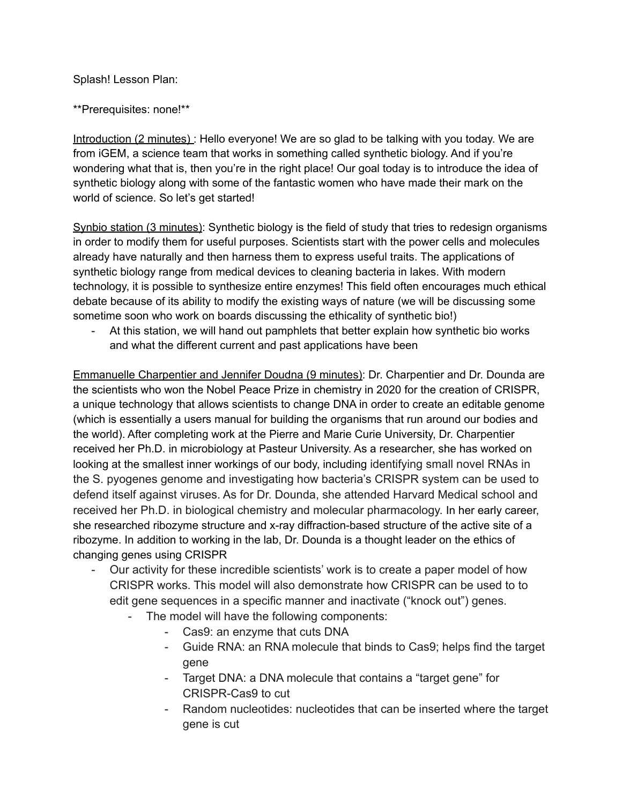Splash! Lesson Plan:

\*\*Prerequisites: none!\*\*

Introduction (2 minutes) : Hello everyone! We are so glad to be talking with you today. We are from iGEM, a science team that works in something called synthetic biology. And if you're wondering what that is, then you're in the right place! Our goal today is to introduce the idea of synthetic biology along with some of the fantastic women who have made their mark on the world of science. So let's get started!

Synbio station (3 minutes): Synthetic biology is the field of study that tries to redesign organisms in order to modify them for useful purposes. Scientists start with the power cells and molecules already have naturally and then harness them to express useful traits. The applications of synthetic biology range from medical devices to cleaning bacteria in lakes. With modern technology, it is possible to synthesize entire enzymes! This field often encourages much ethical debate because of its ability to modify the existing ways of nature (we will be discussing some sometime soon who work on boards discussing the ethicality of synthetic bio!)

At this station, we will hand out pamphlets that better explain how synthetic bio works and what the different current and past applications have been

Emmanuelle Charpentier and Jennifer Doudna (9 minutes): Dr. Charpentier and Dr. Dounda are the scientists who won the Nobel Peace Prize in chemistry in 2020 for the creation of CRISPR, a unique technology that allows scientists to change DNA in order to create an editable genome (which is essentially a users manual for building the organisms that run around our bodies and the world). After completing work at the Pierre and Marie Curie University, Dr. Charpentier received her Ph.D. in microbiology at Pasteur University. As a researcher, she has worked on looking at the smallest inner workings of our body, including identifying small novel RNAs in the S. pyogenes genome and investigating how bacteria's CRISPR system can be used to defend itself against viruses. As for Dr. Dounda, she attended Harvard Medical school and received her Ph.D. in biological chemistry and molecular pharmacology. In her early career, she researched ribozyme structure and x-ray diffraction-based structure of the active site of a ribozyme. In addition to working in the lab, Dr. Dounda is a thought leader on the ethics of changing genes using CRISPR

- Our activity for these incredible scientists' work is to create a paper model of how CRISPR works. This model will also demonstrate how CRISPR can be used to to edit gene sequences in a specific manner and inactivate ("knock out") genes.
	- The model will have the following components:
		- Cas9: an enzyme that cuts DNA
		- Guide RNA: an RNA molecule that binds to Cas9; helps find the target gene
		- Target DNA: a DNA molecule that contains a "target gene" for CRISPR-Cas9 to cut
		- Random nucleotides: nucleotides that can be inserted where the target gene is cut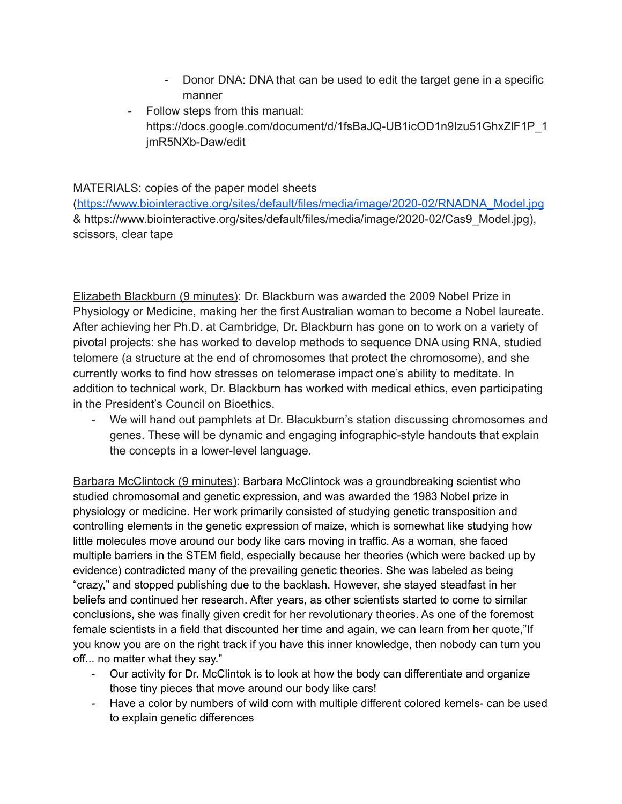- Donor DNA: DNA that can be used to edit the target gene in a specific manner
- Follow steps from this manual: https://docs.google.com/document/d/1fsBaJQ-UB1icOD1n9Izu51GhxZlF1P\_1 jmR5NXb-Daw/edit

## MATERIALS: copies of the paper model sheets

([https://www.biointeractive.org/sites/default/files/media/image/2020-02/RNADNA\\_Model.jpg](https://www.biointeractive.org/sites/default/files/media/image/2020-02/RNADNA_Model.jpg) & https://www.biointeractive.org/sites/default/files/media/image/2020-02/Cas9\_Model.jpg), scissors, clear tape

Elizabeth Blackburn (9 minutes): Dr. Blackburn was awarded the 2009 Nobel Prize in Physiology or Medicine, making her the first Australian woman to become a Nobel laureate. After achieving her Ph.D. at Cambridge, Dr. Blackburn has gone on to work on a variety of pivotal projects: she has worked to develop methods to sequence DNA using RNA, studied telomere (a structure at the end of chromosomes that protect the chromosome), and she currently works to find how stresses on telomerase impact one's ability to meditate. In addition to technical work, Dr. Blackburn has worked with medical ethics, even participating in the President's Council on Bioethics.

- We will hand out pamphlets at Dr. Blacukburn's station discussing chromosomes and genes. These will be dynamic and engaging infographic-style handouts that explain the concepts in a lower-level language.

Barbara McClintock (9 minutes): Barbara McClintock was a groundbreaking scientist who studied chromosomal and genetic expression, and was awarded the 1983 Nobel prize in physiology or medicine. Her work primarily consisted of studying genetic transposition and controlling elements in the genetic expression of maize, which is somewhat like studying how little molecules move around our body like cars moving in traffic. As a woman, she faced multiple barriers in the STEM field, especially because her theories (which were backed up by evidence) contradicted many of the prevailing genetic theories. She was labeled as being "crazy," and stopped publishing due to the backlash. However, she stayed steadfast in her beliefs and continued her research. After years, as other scientists started to come to similar conclusions, she was finally given credit for her revolutionary theories. As one of the foremost female scientists in a field that discounted her time and again, we can learn from her quote,"If you know you are on the right track if you have this inner knowledge, then nobody can turn you off... no matter what they say."

- Our activity for Dr. McClintok is to look at how the body can differentiate and organize those tiny pieces that move around our body like cars!
- Have a color by numbers of wild corn with multiple different colored kernels- can be used to explain genetic differences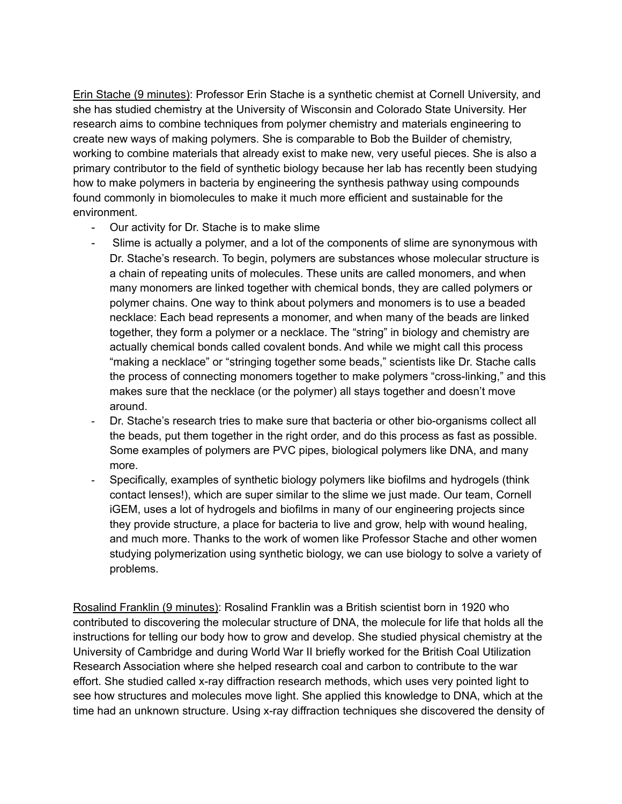Erin Stache (9 minutes): Professor Erin Stache is a synthetic chemist at Cornell University, and she has studied chemistry at the University of Wisconsin and Colorado State University. Her research aims to combine techniques from polymer chemistry and materials engineering to create new ways of making polymers. She is comparable to Bob the Builder of chemistry, working to combine materials that already exist to make new, very useful pieces. She is also a primary contributor to the field of synthetic biology because her lab has recently been studying how to make polymers in bacteria by engineering the synthesis pathway using compounds found commonly in biomolecules to make it much more efficient and sustainable for the environment.

- Our activity for Dr. Stache is to make slime
- Slime is actually a polymer, and a lot of the components of slime are synonymous with Dr. Stache's research. To begin, polymers are substances whose molecular structure is a chain of repeating units of molecules. These units are called monomers, and when many monomers are linked together with chemical bonds, they are called polymers or polymer chains. One way to think about polymers and monomers is to use a beaded necklace: Each bead represents a monomer, and when many of the beads are linked together, they form a polymer or a necklace. The "string" in biology and chemistry are actually chemical bonds called covalent bonds. And while we might call this process "making a necklace" or "stringing together some beads," scientists like Dr. Stache calls the process of connecting monomers together to make polymers "cross-linking," and this makes sure that the necklace (or the polymer) all stays together and doesn't move around.
- Dr. Stache's research tries to make sure that bacteria or other bio-organisms collect all the beads, put them together in the right order, and do this process as fast as possible. Some examples of polymers are PVC pipes, biological polymers like DNA, and many more.
- Specifically, examples of synthetic biology polymers like biofilms and hydrogels (think contact lenses!), which are super similar to the slime we just made. Our team, Cornell iGEM, uses a lot of hydrogels and biofilms in many of our engineering projects since they provide structure, a place for bacteria to live and grow, help with wound healing, and much more. Thanks to the work of women like Professor Stache and other women studying polymerization using synthetic biology, we can use biology to solve a variety of problems.

Rosalind Franklin (9 minutes): Rosalind Franklin was a British scientist born in 1920 who contributed to discovering the molecular structure of DNA, the molecule for life that holds all the instructions for telling our body how to grow and develop. She studied physical chemistry at the University of Cambridge and during World War II briefly worked for the British Coal Utilization Research Association where she helped research coal and carbon to contribute to the war effort. She studied called x-ray diffraction research methods, which uses very pointed light to see how structures and molecules move light. She applied this knowledge to DNA, which at the time had an unknown structure. Using x-ray diffraction techniques she discovered the density of